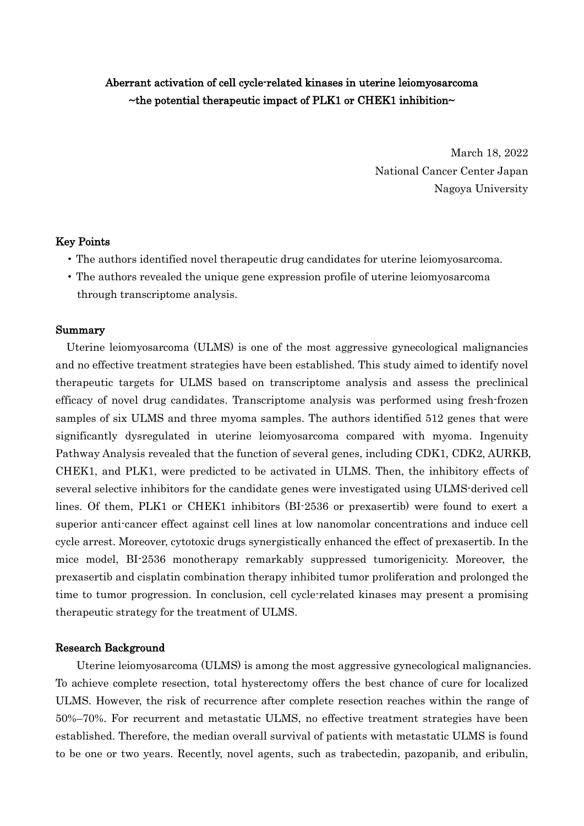# Aberrant activation of cell cycle-related kinases in uterine leiomyosarcoma ~the potential therapeutic impact of PLK1 or CHEK1 inhibition~

March 18, 2022 National Cancer Center Japan Nagoya University

### Key Points

- The authors identified novel therapeutic drug candidates for uterine leiomyosarcoma.
- The authors revealed the unique gene expression profile of uterine leiomyosarcoma through transcriptome analysis.

#### Summary

Uterine leiomyosarcoma (ULMS) is one of the most aggressive gynecological malignancies and no effective treatment strategies have been established. This study aimed to identify novel therapeutic targets for ULMS based on transcriptome analysis and assess the preclinical efficacy of novel drug candidates. Transcriptome analysis was performed using fresh-frozen samples of six ULMS and three myoma samples. The authors identified 512 genes that were significantly dysregulated in uterine leiomyosarcoma compared with myoma. Ingenuity Pathway Analysis revealed that the function of several genes, including CDK1, CDK2, AURKB, CHEK1, and PLK1, were predicted to be activated in ULMS. Then, the inhibitory effects of several selective inhibitors for the candidate genes were investigated using ULMS-derived cell lines. Of them, PLK1 or CHEK1 inhibitors (BI-2536 or prexasertib) were found to exert a superior anti-cancer effect against cell lines at low nanomolar concentrations and induce cell cycle arrest. Moreover, cytotoxic drugs synergistically enhanced the effect of prexasertib. In the mice model, BI-2536 monotherapy remarkably suppressed tumorigenicity. Moreover, the prexasertib and cisplatin combination therapy inhibited tumor proliferation and prolonged the time to tumor progression. In conclusion, cell cycle-related kinases may present a promising therapeutic strategy for the treatment of ULMS.

#### Research Background

Uterine leiomyosarcoma (ULMS) is among the most aggressive gynecological malignancies. To achieve complete resection, total hysterectomy offers the best chance of cure for localized ULMS. However, the risk of recurrence after complete resection reaches within the range of 50%–70%. For recurrent and metastatic ULMS, no effective treatment strategies have been established. Therefore, the median overall survival of patients with metastatic ULMS is found to be one or two years. Recently, novel agents, such as trabectedin, pazopanib, and eribulin,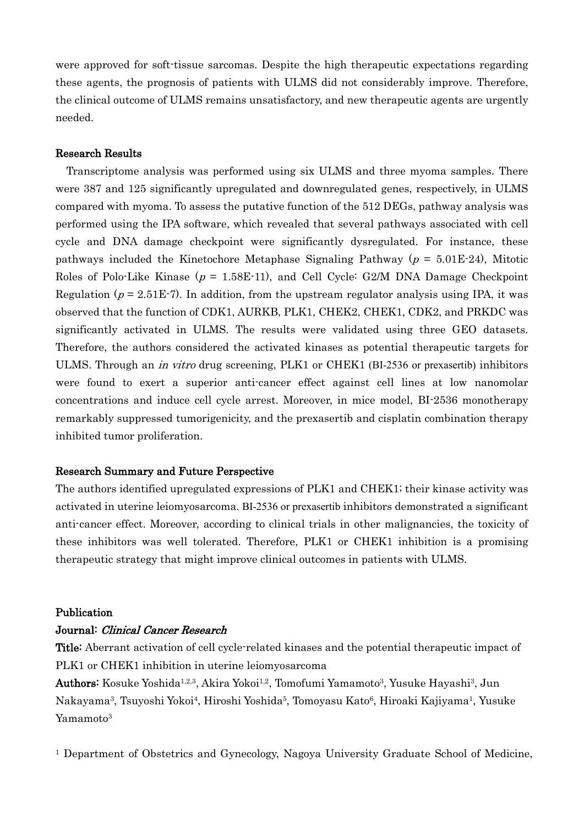were approved for soft-tissue sarcomas. Despite the high therapeutic expectations regarding these agents, the prognosis of patients with ULMS did not considerably improve. Therefore, the clinical outcome of ULMS remains unsatisfactory, and new therapeutic agents are urgently needed.

### Research Results

Transcriptome analysis was performed using six ULMS and three myoma samples. There were 387 and 125 significantly upregulated and downregulated genes, respectively, in ULMS compared with myoma. To assess the putative function of the 512 DEGs, pathway analysis was performed using the IPA software, which revealed that several pathways associated with cell cycle and DNA damage checkpoint were significantly dysregulated. For instance, these pathways included the Kinetochore Metaphase Signaling Pathway ( $p = 5.01E-24$ ), Mitotic Roles of Polo-Like Kinase ( $p = 1.58E-11$ ), and Cell Cycle: G2/M DNA Damage Checkpoint Regulation ( $p = 2.51E-7$ ). In addition, from the upstream regulator analysis using IPA, it was observed that the function of CDK1, AURKB, PLK1, CHEK2, CHEK1, CDK2, and PRKDC was significantly activated in ULMS. The results were validated using three GEO datasets. Therefore, the authors considered the activated kinases as potential therapeutic targets for ULMS. Through an in vitro drug screening, PLK1 or CHEK1 (BI-2536 or prexasertib) inhibitors were found to exert a superior anti-cancer effect against cell lines at low nanomolar concentrations and induce cell cycle arrest. Moreover, in mice model, BI-2536 monotherapy remarkably suppressed tumorigenicity, and the prexasertib and cisplatin combination therapy inhibited tumor proliferation.

## Research Summary and Future Perspective

The authors identified upregulated expressions of PLK1 and CHEK1; their kinase activity was activated in uterine leiomyosarcoma. BI-2536 or prexasertib inhibitors demonstrated a significant anti-cancer effect. Moreover, according to clinical trials in other malignancies, the toxicity of these inhibitors was well tolerated. Therefore, PLK1 or CHEK1 inhibition is a promising therapeutic strategy that might improve clinical outcomes in patients with ULMS.

#### Publication

#### Journal: Clinical Cancer Research

Title: Aberrant activation of cell cycle-related kinases and the potential therapeutic impact of PLK1 or CHEK1 inhibition in uterine leiomyosarcoma

Authors: Kosuke Yoshida<sup>1,2,3</sup>, Akira Yokoi<sup>1,2</sup>, Tomofumi Yamamoto<sup>3</sup>, Yusuke Hayashi<sup>3</sup>, Jun Nakayama3, Tsuyoshi Yokoi4, Hiroshi Yoshida5, Tomoyasu Kato6, Hiroaki Kajiyama1, Yusuke Yamamoto<sup>3</sup>

<sup>1</sup> Department of Obstetrics and Gynecology, Nagoya University Graduate School of Medicine,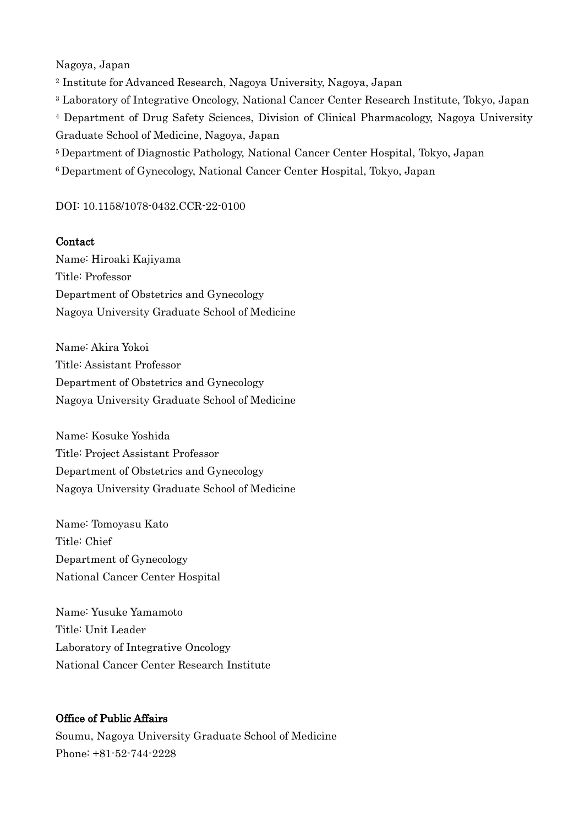Nagoya, Japan

<sup>2</sup> Institute for Advanced Research, Nagoya University, Nagoya, Japan

<sup>3</sup> Laboratory of Integrative Oncology, National Cancer Center Research Institute, Tokyo, Japan

<sup>4</sup> Department of Drug Safety Sciences, Division of Clinical Pharmacology, Nagoya University Graduate School of Medicine, Nagoya, Japan

5 Department of Diagnostic Pathology, National Cancer Center Hospital, Tokyo, Japan

6 Department of Gynecology, National Cancer Center Hospital, Tokyo, Japan

## DOI: 10.1158/1078-0432.CCR-22-0100

## Contact

Name: Hiroaki Kajiyama Title: Professor Department of Obstetrics and Gynecology Nagoya University Graduate School of Medicine

Name: Akira Yokoi Title: Assistant Professor Department of Obstetrics and Gynecology Nagoya University Graduate School of Medicine

Name: Kosuke Yoshida Title: Project Assistant Professor Department of Obstetrics and Gynecology Nagoya University Graduate School of Medicine

Name: Tomoyasu Kato Title: Chief Department of Gynecology National Cancer Center Hospital

Name: Yusuke Yamamoto Title: Unit Leader Laboratory of Integrative Oncology National Cancer Center Research Institute

# Office of Public Affairs

Soumu, Nagoya University Graduate School of Medicine Phone: +81-52-744-2228